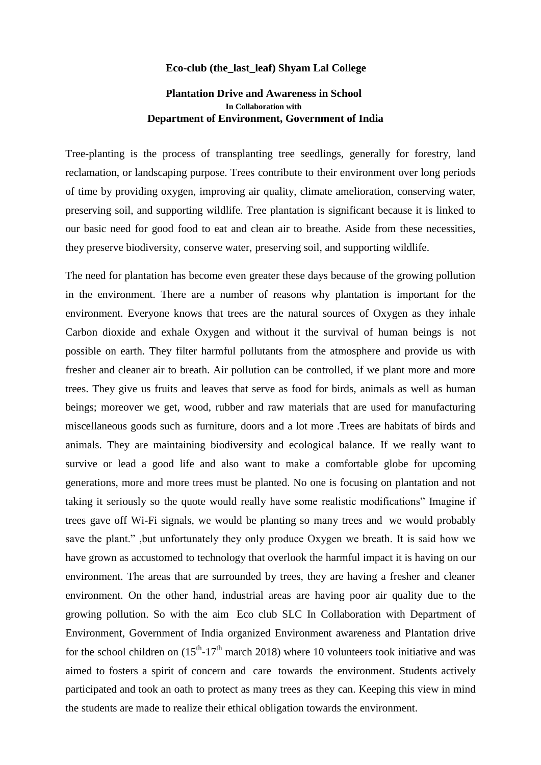## **Eco-club (the\_last\_leaf) Shyam Lal College**

## **Plantation Drive and Awareness in School In Collaboration with Department of Environment, Government of India**

Tree-planting is the process of transplanting tree seedlings, generally for forestry, land reclamation, or landscaping purpose. Trees contribute to their environment over long periods of time by providing oxygen, improving air quality, climate amelioration, conserving water, preserving soil, and supporting wildlife. Tree plantation is significant because it is linked to our basic need for good food to eat and clean air to breathe. Aside from these necessities, they preserve biodiversity, conserve water, preserving soil, and supporting wildlife.

The need for plantation has become even greater these days because of the growing pollution in the environment. There are a number of reasons why plantation is important for the environment. Everyone knows that trees are the natural sources of Oxygen as they inhale Carbon dioxide and exhale Oxygen and without it the survival of human beings is not possible on earth. They filter harmful pollutants from the atmosphere and provide us with fresher and cleaner air to breath. Air pollution can be controlled, if we plant more and more trees. They give us fruits and leaves that serve as food for birds, animals as well as human beings; moreover we get, wood, rubber and raw materials that are used for manufacturing miscellaneous goods such as furniture, doors and a lot more .Trees are habitats of birds and animals. They are maintaining biodiversity and ecological balance. If we really want to survive or lead a good life and also want to make a comfortable globe for upcoming generations, more and more trees must be planted. No one is focusing on plantation and not taking it seriously so the quote would really have some realistic modifications" Imagine if trees gave off Wi-Fi signals, we would be planting so many trees and we would probably save the plant." ,but unfortunately they only produce Oxygen we breath. It is said how we have grown as accustomed to technology that overlook the harmful impact it is having on our environment. The areas that are surrounded by trees, they are having a fresher and cleaner environment. On the other hand, industrial areas are having poor air quality due to the growing pollution. So with the aim Eco club SLC In Collaboration with Department of Environment, Government of India organized Environment awareness and Plantation drive for the school children on  $(15<sup>th</sup>-17<sup>th</sup>$  march 2018) where 10 volunteers took initiative and was aimed to fosters a spirit of concern and care towards the environment. Students actively participated and took an oath to protect as many trees as they can. Keeping this view in mind the students are made to realize their ethical obligation towards the environment.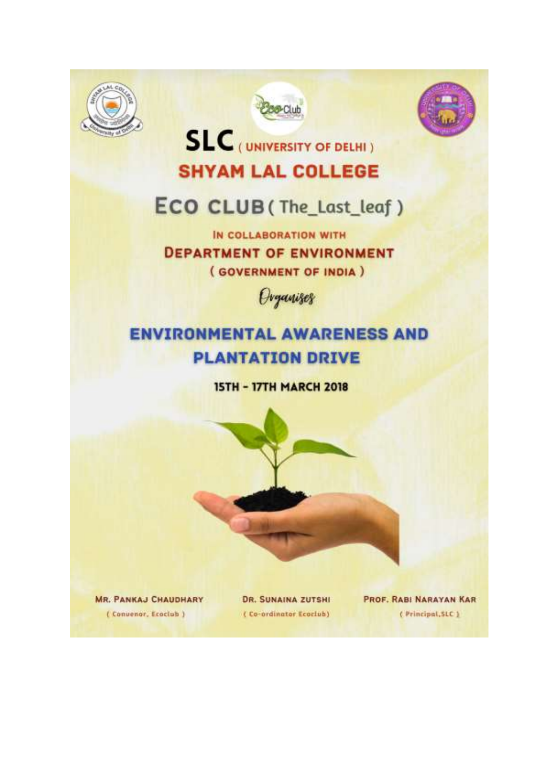





**SLC** (UNIVERSITY OF DELHI) **SHYAM LAL COLLEGE** 

## ECO CLUB (The\_Last\_leaf)

IN COLLABORATION WITH **DEPARTMENT OF ENVIRONMENT** (GOVERNMENT OF INDIA)



## **ENVIRONMENTAL AWARENESS AND PLANTATION DRIVE**

**15TH - 17TH MARCH 2018** 



**MR. PANKAJ CHAUDHARY** (Convenor, Ecoclub)

**DR. SUNAINA ZUTSHI** (Co-ordinator Ecoclub)

PROF. RABI NARAYAN KAR (Principal, SLC)